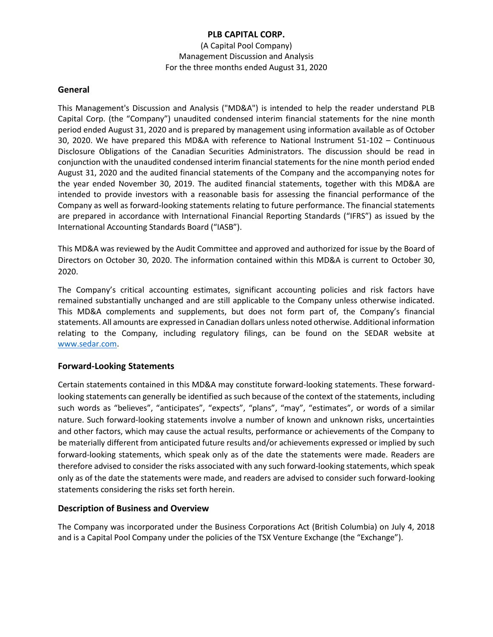(A Capital Pool Company) Management Discussion and Analysis For the three months ended August 31, 2020

#### **General**

This Management's Discussion and Analysis ("MD&A") is intended to help the reader understand PLB Capital Corp. (the "Company") unaudited condensed interim financial statements for the nine month period ended August 31, 2020 and is prepared by management using information available as of October 30, 2020. We have prepared this MD&A with reference to National Instrument 51-102 – Continuous Disclosure Obligations of the Canadian Securities Administrators. The discussion should be read in conjunction with the unaudited condensed interim financial statements for the nine month period ended August 31, 2020 and the audited financial statements of the Company and the accompanying notes for the year ended November 30, 2019. The audited financial statements, together with this MD&A are intended to provide investors with a reasonable basis for assessing the financial performance of the Company as well as forward-looking statements relating to future performance. The financial statements are prepared in accordance with International Financial Reporting Standards ("IFRS") as issued by the International Accounting Standards Board ("IASB").

This MD&A was reviewed by the Audit Committee and approved and authorized for issue by the Board of Directors on October 30, 2020. The information contained within this MD&A is current to October 30, 2020.

The Company's critical accounting estimates, significant accounting policies and risk factors have remained substantially unchanged and are still applicable to the Company unless otherwise indicated. This MD&A complements and supplements, but does not form part of, the Company's financial statements. All amounts are expressed in Canadian dollars unless noted otherwise. Additional information relating to the Company, including regulatory filings, can be found on the SEDAR website at [www.sedar.com.](http://www.sedar.com/)

## **Forward-Looking Statements**

Certain statements contained in this MD&A may constitute forward-looking statements. These forwardlooking statements can generally be identified as such because of the context of the statements, including such words as "believes", "anticipates", "expects", "plans", "may", "estimates", or words of a similar nature. Such forward-looking statements involve a number of known and unknown risks, uncertainties and other factors, which may cause the actual results, performance or achievements of the Company to be materially different from anticipated future results and/or achievements expressed or implied by such forward-looking statements, which speak only as of the date the statements were made. Readers are therefore advised to consider the risks associated with any such forward-looking statements, which speak only as of the date the statements were made, and readers are advised to consider such forward-looking statements considering the risks set forth herein.

## **Description of Business and Overview**

The Company was incorporated under the Business Corporations Act (British Columbia) on July 4, 2018 and is a Capital Pool Company under the policies of the TSX Venture Exchange (the "Exchange").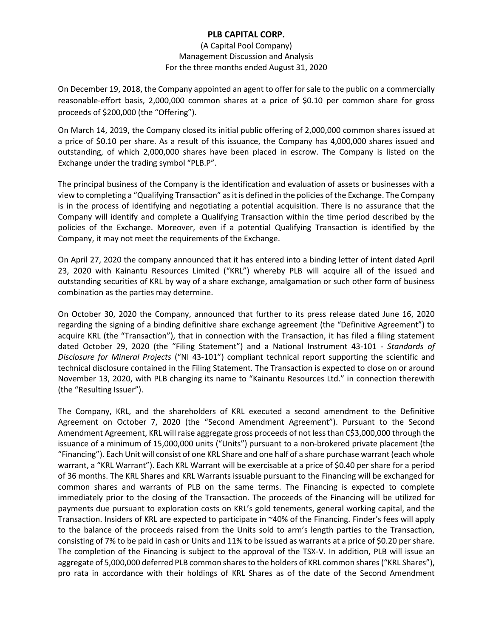#### (A Capital Pool Company) Management Discussion and Analysis For the three months ended August 31, 2020

On December 19, 2018, the Company appointed an agent to offer for sale to the public on a commercially reasonable-effort basis, 2,000,000 common shares at a price of \$0.10 per common share for gross proceeds of \$200,000 (the "Offering").

On March 14, 2019, the Company closed its initial public offering of 2,000,000 common shares issued at a price of \$0.10 per share. As a result of this issuance, the Company has 4,000,000 shares issued and outstanding, of which 2,000,000 shares have been placed in escrow. The Company is listed on the Exchange under the trading symbol "PLB.P".

The principal business of the Company is the identification and evaluation of assets or businesses with a view to completing a "Qualifying Transaction" as it is defined in the policies of the Exchange. The Company is in the process of identifying and negotiating a potential acquisition. There is no assurance that the Company will identify and complete a Qualifying Transaction within the time period described by the policies of the Exchange. Moreover, even if a potential Qualifying Transaction is identified by the Company, it may not meet the requirements of the Exchange.

On April 27, 2020 the company announced that it has entered into a binding letter of intent dated April 23, 2020 with Kainantu Resources Limited ("KRL") whereby PLB will acquire all of the issued and outstanding securities of KRL by way of a share exchange, amalgamation or such other form of business combination as the parties may determine.

On October 30, 2020 the Company, announced that further to its press release dated June 16, 2020 regarding the signing of a binding definitive share exchange agreement (the "Definitive Agreement") to acquire KRL (the "Transaction"), that in connection with the Transaction, it has filed a filing statement dated October 29, 2020 (the "Filing Statement") and a National Instrument 43-101 - *Standards of Disclosure for Mineral Projects* ("NI 43-101") compliant technical report supporting the scientific and technical disclosure contained in the Filing Statement. The Transaction is expected to close on or around November 13, 2020, with PLB changing its name to "Kainantu Resources Ltd." in connection therewith (the "Resulting Issuer").

The Company, KRL, and the shareholders of KRL executed a second amendment to the Definitive Agreement on October 7, 2020 (the "Second Amendment Agreement"). Pursuant to the Second Amendment Agreement, KRL will raise aggregate gross proceeds of not less than C\$3,000,000 through the issuance of a minimum of 15,000,000 units ("Units") pursuant to a non-brokered private placement (the "Financing"). Each Unit will consist of one KRL Share and one half of a share purchase warrant (each whole warrant, a "KRL Warrant"). Each KRL Warrant will be exercisable at a price of \$0.40 per share for a period of 36 months. The KRL Shares and KRL Warrants issuable pursuant to the Financing will be exchanged for common shares and warrants of PLB on the same terms. The Financing is expected to complete immediately prior to the closing of the Transaction. The proceeds of the Financing will be utilized for payments due pursuant to exploration costs on KRL's gold tenements, general working capital, and the Transaction. Insiders of KRL are expected to participate in ~40% of the Financing. Finder's fees will apply to the balance of the proceeds raised from the Units sold to arm's length parties to the Transaction, consisting of 7% to be paid in cash or Units and 11% to be issued as warrants at a price of \$0.20 per share. The completion of the Financing is subject to the approval of the TSX-V. In addition, PLB will issue an aggregate of 5,000,000 deferred PLB common shares to the holders of KRL common shares ("KRL Shares"), pro rata in accordance with their holdings of KRL Shares as of the date of the Second Amendment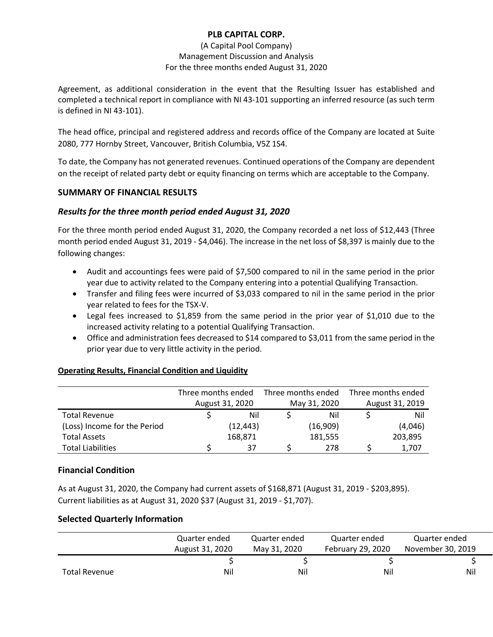### (A Capital Pool Company) Management Discussion and Analysis For the three months ended August 31, 2020

Agreement, as additional consideration in the event that the Resulting Issuer has established and completed a technical report in compliance with NI 43-101 supporting an inferred resource (as such term is defined in NI 43-101).

The head office, principal and registered address and records office of the Company are located at Suite 2080, 777 Hornby Street, Vancouver, British Columbia, V5Z 1S4.

To date, the Company has not generated revenues. Continued operations of the Company are dependent on the receipt of related party debt or equity financing on terms which are acceptable to the Company.

# **SUMMARY OF FINANCIAL RESULTS**

# *Results for the three month period ended August 31, 2020*

For the three month period ended August 31, 2020, the Company recorded a net loss of \$12,443 (Three month period ended August 31, 2019 - \$4,046). The increase in the net loss of \$8,397 is mainly due to the following changes:

- Audit and accountings fees were paid of \$7,500 compared to nil in the same period in the prior year due to activity related to the Company entering into a potential Qualifying Transaction.
- Transfer and filing fees were incurred of \$3,033 compared to nil in the same period in the prior year related to fees for the TSX-V.
- Legal fees increased to \$1,859 from the same period in the prior year of \$1,010 due to the increased activity relating to a potential Qualifying Transaction.
- Office and administration fees decreased to \$14 compared to \$3,011 from the same period in the prior year due to very little activity in the period.

## **Operating Results, Financial Condition and Liquidity**

|                              | Three months ended<br>August 31, 2020 |           | Three months ended<br>May 31, 2020 |          | Three months ended<br>August 31, 2019 |         |
|------------------------------|---------------------------------------|-----------|------------------------------------|----------|---------------------------------------|---------|
|                              |                                       |           |                                    |          |                                       |         |
| <b>Total Revenue</b>         |                                       | Nil       |                                    | Nil      |                                       | Nil     |
| (Loss) Income for the Period |                                       | (12, 443) |                                    | (16,909) |                                       | (4,046) |
| <b>Total Assets</b>          |                                       | 168,871   |                                    | 181,555  |                                       | 203,895 |
| <b>Total Liabilities</b>     |                                       | 37        |                                    | 278      |                                       | 1,707   |

## **Financial Condition**

As at August 31, 2020, the Company had current assets of \$168,871 (August 31, 2019 - \$203,895). Current liabilities as at August 31, 2020 \$37 (August 31, 2019 - \$1,707).

## **Selected Quarterly Information**

|                      | Quarter ended   | Quarter ended | Quarter ended     | Quarter ended     |
|----------------------|-----------------|---------------|-------------------|-------------------|
|                      | August 31, 2020 | May 31, 2020  | February 29, 2020 | November 30, 2019 |
|                      |                 |               |                   |                   |
| <b>Total Revenue</b> | Nil             | Ni            | Nil               | Nil               |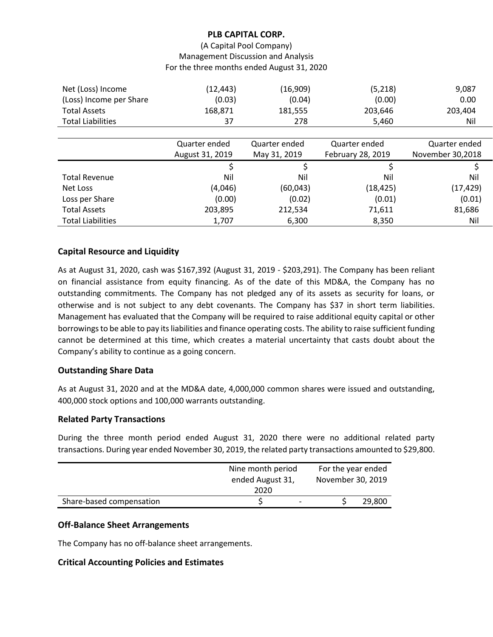(A Capital Pool Company) Management Discussion and Analysis For the three months ended August 31, 2020

| Net (Loss) Income        | (12,443) | (16,909) | (5,218) | 9,087   |
|--------------------------|----------|----------|---------|---------|
| (Loss) Income per Share  | (0.03)   | (0.04)   | (0.00)  | 0.00    |
| <b>Total Assets</b>      | 168.871  | 181.555  | 203,646 | 203.404 |
| <b>Total Liabilities</b> | 37       | 278      | 5.460   | Nil     |

|                          | Quarter ended   | Quarter ended | Quarter ended     | Quarter ended    |
|--------------------------|-----------------|---------------|-------------------|------------------|
|                          | August 31, 2019 | May 31, 2019  | February 28, 2019 | November 30,2018 |
|                          |                 |               |                   |                  |
| <b>Total Revenue</b>     | Nil             | Nil           | Nil               | Nil              |
| Net Loss                 | (4,046)         | (60, 043)     | (18, 425)         | (17, 429)        |
| Loss per Share           | (0.00)          | (0.02)        | (0.01)            | (0.01)           |
| <b>Total Assets</b>      | 203,895         | 212,534       | 71,611            | 81,686           |
| <b>Total Liabilities</b> | 1,707           | 6,300         | 8,350             | Nil              |

## **Capital Resource and Liquidity**

As at August 31, 2020, cash was \$167,392 (August 31, 2019 - \$203,291). The Company has been reliant on financial assistance from equity financing. As of the date of this MD&A, the Company has no outstanding commitments. The Company has not pledged any of its assets as security for loans, or otherwise and is not subject to any debt covenants. The Company has \$37 in short term liabilities. Management has evaluated that the Company will be required to raise additional equity capital or other borrowings to be able to pay its liabilities and finance operating costs. The ability to raise sufficient funding cannot be determined at this time, which creates a material uncertainty that casts doubt about the Company's ability to continue as a going concern.

## **Outstanding Share Data**

As at August 31, 2020 and at the MD&A date, 4,000,000 common shares were issued and outstanding, 400,000 stock options and 100,000 warrants outstanding.

#### **Related Party Transactions**

During the three month period ended August 31, 2020 there were no additional related party transactions. During year ended November 30, 2019, the related party transactions amounted to \$29,800.

|                          | Nine month period<br>ended August 31,<br>2020 | For the year ended<br>November 30, 2019 |  |
|--------------------------|-----------------------------------------------|-----------------------------------------|--|
| Share-based compensation |                                               | 29,800                                  |  |

#### **Off-Balance Sheet Arrangements**

The Company has no off-balance sheet arrangements.

#### **Critical Accounting Policies and Estimates**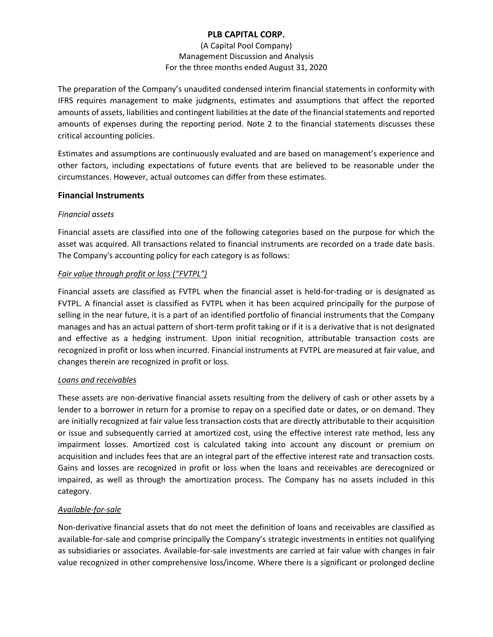### (A Capital Pool Company) Management Discussion and Analysis For the three months ended August 31, 2020

The preparation of the Company's unaudited condensed interim financial statements in conformity with IFRS requires management to make judgments, estimates and assumptions that affect the reported amounts of assets, liabilities and contingent liabilities at the date of the financial statements and reported amounts of expenses during the reporting period. Note 2 to the financial statements discusses these critical accounting policies.

Estimates and assumptions are continuously evaluated and are based on management's experience and other factors, including expectations of future events that are believed to be reasonable under the circumstances. However, actual outcomes can differ from these estimates.

## **Financial Instruments**

## *Financial assets*

Financial assets are classified into one of the following categories based on the purpose for which the asset was acquired. All transactions related to financial instruments are recorded on a trade date basis. The Company's accounting policy for each category is as follows:

# *Fair value through profit or loss ("FVTPL")*

Financial assets are classified as FVTPL when the financial asset is held-for-trading or is designated as FVTPL. A financial asset is classified as FVTPL when it has been acquired principally for the purpose of selling in the near future, it is a part of an identified portfolio of financial instruments that the Company manages and has an actual pattern of short-term profit taking or if it is a derivative that is not designated and effective as a hedging instrument. Upon initial recognition, attributable transaction costs are recognized in profit or loss when incurred. Financial instruments at FVTPL are measured at fair value, and changes therein are recognized in profit or loss.

## *Loans and receivables*

These assets are non-derivative financial assets resulting from the delivery of cash or other assets by a lender to a borrower in return for a promise to repay on a specified date or dates, or on demand. They are initially recognized at fair value less transaction costs that are directly attributable to their acquisition or issue and subsequently carried at amortized cost, using the effective interest rate method, less any impairment losses. Amortized cost is calculated taking into account any discount or premium on acquisition and includes fees that are an integral part of the effective interest rate and transaction costs. Gains and losses are recognized in profit or loss when the loans and receivables are derecognized or impaired, as well as through the amortization process. The Company has no assets included in this category.

## *Available-for-sale*

Non-derivative financial assets that do not meet the definition of loans and receivables are classified as available-for-sale and comprise principally the Company's strategic investments in entities not qualifying as subsidiaries or associates. Available-for-sale investments are carried at fair value with changes in fair value recognized in other comprehensive loss/income. Where there is a significant or prolonged decline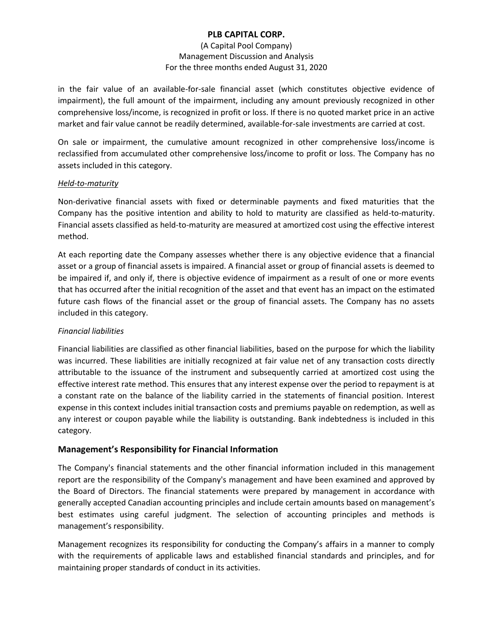### (A Capital Pool Company) Management Discussion and Analysis For the three months ended August 31, 2020

in the fair value of an available-for-sale financial asset (which constitutes objective evidence of impairment), the full amount of the impairment, including any amount previously recognized in other comprehensive loss/income, is recognized in profit or loss. If there is no quoted market price in an active market and fair value cannot be readily determined, available-for-sale investments are carried at cost.

On sale or impairment, the cumulative amount recognized in other comprehensive loss/income is reclassified from accumulated other comprehensive loss/income to profit or loss. The Company has no assets included in this category.

## *Held-to-maturity*

Non-derivative financial assets with fixed or determinable payments and fixed maturities that the Company has the positive intention and ability to hold to maturity are classified as held-to-maturity. Financial assets classified as held-to-maturity are measured at amortized cost using the effective interest method.

At each reporting date the Company assesses whether there is any objective evidence that a financial asset or a group of financial assets is impaired. A financial asset or group of financial assets is deemed to be impaired if, and only if, there is objective evidence of impairment as a result of one or more events that has occurred after the initial recognition of the asset and that event has an impact on the estimated future cash flows of the financial asset or the group of financial assets. The Company has no assets included in this category.

## *Financial liabilities*

Financial liabilities are classified as other financial liabilities, based on the purpose for which the liability was incurred. These liabilities are initially recognized at fair value net of any transaction costs directly attributable to the issuance of the instrument and subsequently carried at amortized cost using the effective interest rate method. This ensures that any interest expense over the period to repayment is at a constant rate on the balance of the liability carried in the statements of financial position. Interest expense in this context includes initial transaction costs and premiums payable on redemption, as well as any interest or coupon payable while the liability is outstanding. Bank indebtedness is included in this category.

## **Management's Responsibility for Financial Information**

The Company's financial statements and the other financial information included in this management report are the responsibility of the Company's management and have been examined and approved by the Board of Directors. The financial statements were prepared by management in accordance with generally accepted Canadian accounting principles and include certain amounts based on management's best estimates using careful judgment. The selection of accounting principles and methods is management's responsibility.

Management recognizes its responsibility for conducting the Company's affairs in a manner to comply with the requirements of applicable laws and established financial standards and principles, and for maintaining proper standards of conduct in its activities.